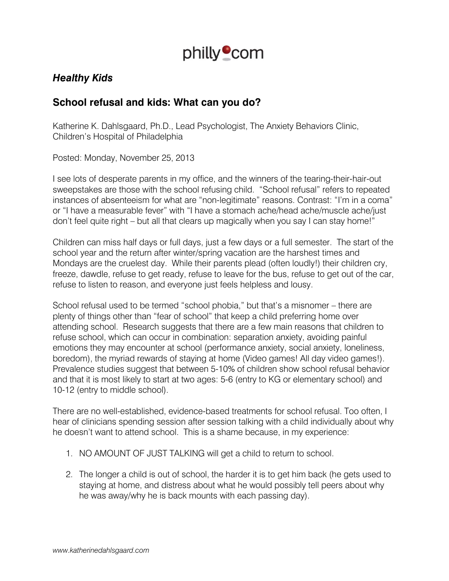

# *Healthy Kids*

## **School refusal and kids: What can you do?**

Katherine K. Dahlsgaard, Ph.D., Lead Psychologist, The Anxiety Behaviors Clinic, Children's Hospital of Philadelphia

Posted: Monday, November 25, 2013

I see lots of desperate parents in my office, and the winners of the tearing-their-hair-out sweepstakes are those with the school refusing child. "School refusal" refers to repeated instances of absenteeism for what are "non-legitimate" reasons. Contrast: "I'm in a coma" or "I have a measurable fever" with "I have a stomach ache/head ache/muscle ache/just don't feel quite right – but all that clears up magically when you say I can stay home!"

Children can miss half days or full days, just a few days or a full semester. The start of the school year and the return after winter/spring vacation are the harshest times and Mondays are the cruelest day. While their parents plead (often loudly!) their children cry, freeze, dawdle, refuse to get ready, refuse to leave for the bus, refuse to get out of the car, refuse to listen to reason, and everyone just feels helpless and lousy.

School refusal used to be termed "school phobia," but that's a misnomer – there are plenty of things other than "fear of school" that keep a child preferring home over attending school. Research suggests that there are a few main reasons that children to refuse school, which can occur in combination: separation anxiety, avoiding painful emotions they may encounter at school (performance anxiety, social anxiety, loneliness, boredom), the myriad rewards of staying at home (Video games! All day video games!). Prevalence studies suggest that between 5-10% of children show school refusal behavior and that it is most likely to start at two ages: 5-6 (entry to KG or elementary school) and 10-12 (entry to middle school).

There are no well-established, evidence-based treatments for school refusal. Too often, I hear of clinicians spending session after session talking with a child individually about why he doesn't want to attend school. This is a shame because, in my experience:

- 1. NO AMOUNT OF JUST TALKING will get a child to return to school.
- 2. The longer a child is out of school, the harder it is to get him back (he gets used to staying at home, and distress about what he would possibly tell peers about why he was away/why he is back mounts with each passing day).